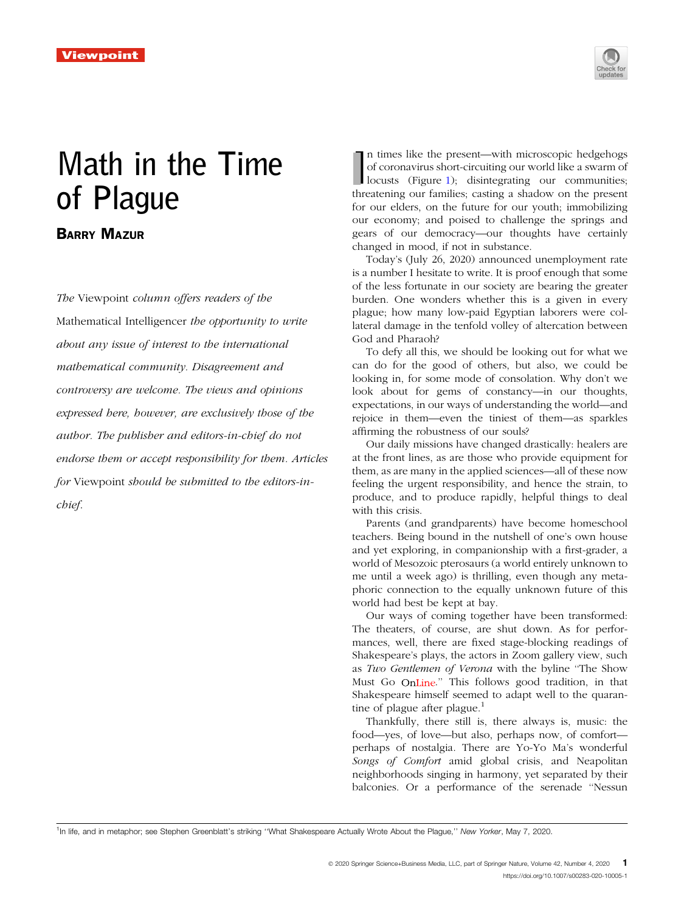

## Math in the Time of Plague

## BARRY MAZUR

The Viewpoint column offers readers of the Mathematical Intelligencer the opportunity to write about any issue of interest to the international mathematical community. Disagreement and controversy are welcome. The views and opinions expressed here, however, are exclusively those of the author. The publisher and editors-in-chief do not endorse them or accept responsibility for them. Articles for Viewpoint should be submitted to the editors-inchief.

In times like the present—with microscopic hedgehogs of coronavirus short-circuiting our world like a swarm of locusts (Figure 1); disintegrating our communities; threatening our families; casting a shadow on the present n times like the present—with microscopic hedgehogs of coronavirus short-circuiting our world like a swarm of locusts (Figure [1](#page-1-0)); disintegrating our communities; for our elders, on the future for our youth; immobilizing our economy; and poised to challenge the springs and gears of our democracy—our thoughts have certainly changed in mood, if not in substance.

Today's (July 26, 2020) announced unemployment rate is a number I hesitate to write. It is proof enough that some of the less fortunate in our society are bearing the greater burden. One wonders whether this is a given in every plague; how many low-paid Egyptian laborers were collateral damage in the tenfold volley of altercation between God and Pharaoh?

To defy all this, we should be looking out for what we can do for the good of others, but also, we could be looking in, for some mode of consolation. Why don't we look about for gems of constancy—in our thoughts, expectations, in our ways of understanding the world—and rejoice in them—even the tiniest of them—as sparkles affirming the robustness of our souls?

Our daily missions have changed drastically: healers are at the front lines, as are those who provide equipment for them, as are many in the applied sciences—all of these now feeling the urgent responsibility, and hence the strain, to produce, and to produce rapidly, helpful things to deal with this crisis.

Parents (and grandparents) have become homeschool teachers. Being bound in the nutshell of one's own house and yet exploring, in companionship with a first-grader, a world of Mesozoic pterosaurs (a world entirely unknown to me until a week ago) is thrilling, even though any metaphoric connection to the equally unknown future of this world had best be kept at bay.

Our ways of coming together have been transformed: The theaters, of course, are shut down. As for performances, well, there are fixed stage-blocking readings of Shakespeare's plays, the actors in Zoom gallery view, such as Two Gentlemen of Verona with the byline ''The Show Must Go OnLine." This follows good tradition, in that Shakespeare himself seemed to adapt well to the quarantine of plague after plague.<sup>1</sup>

Thankfully, there still is, there always is, music: the food—yes, of love—but also, perhaps now, of comfort perhaps of nostalgia. There are Yo-Yo Ma's wonderful Songs of Comfort amid global crisis, and Neapolitan neighborhoods singing in harmony, yet separated by their balconies. Or a performance of the serenade ''Nessun

<sup>&</sup>lt;sup>1</sup>In life, and in metaphor; see Stephen Greenblatt's striking "What Shakespeare Actually Wrote About the Plague," New Yorker, May 7, 2020.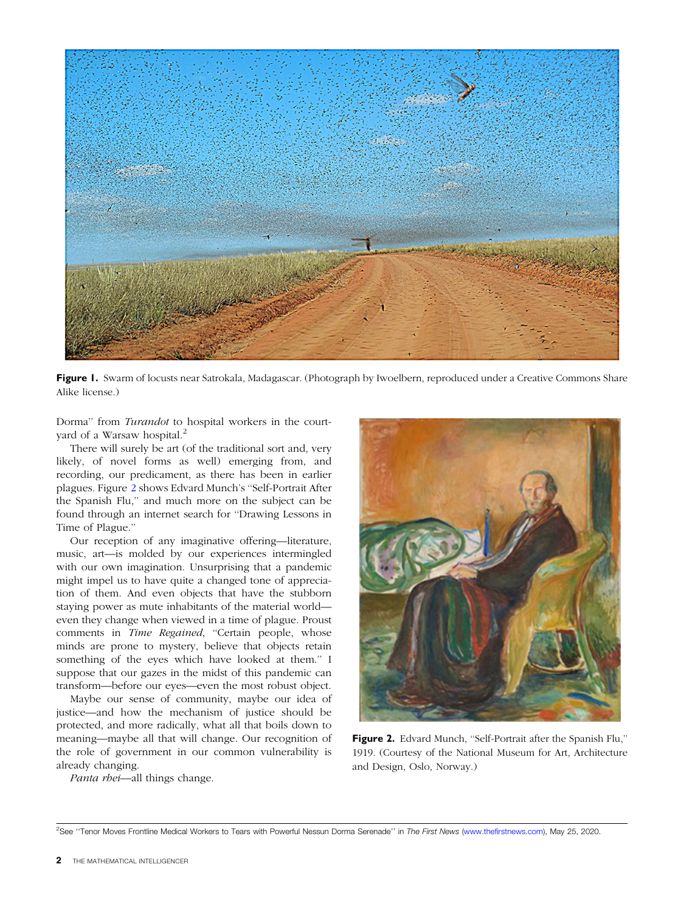<span id="page-1-0"></span>

Figure 1. Swarm of locusts near Satrokala, Madagascar. (Photograph by Iwoelbern, reproduced under a Creative Commons Share Alike license.)

Dorma'' from Turandot to hospital workers in the courtyard of a Warsaw hospital.<sup>2</sup>

There will surely be art (of the traditional sort and, very likely, of novel forms as well) emerging from, and recording, our predicament, as there has been in earlier plagues. Figure 2 shows Edvard Munch's ''Self-Portrait After the Spanish Flu,'' and much more on the subject can be found through an internet search for ''Drawing Lessons in Time of Plague.''

Our reception of any imaginative offering—literature, music, art—is molded by our experiences intermingled with our own imagination. Unsurprising that a pandemic might impel us to have quite a changed tone of appreciation of them. And even objects that have the stubborn staying power as mute inhabitants of the material world even they change when viewed in a time of plague. Proust comments in Time Regained, "Certain people, whose minds are prone to mystery, believe that objects retain something of the eyes which have looked at them.'' I suppose that our gazes in the midst of this pandemic can transform—before our eyes—even the most robust object.

Maybe our sense of community, maybe our idea of justice—and how the mechanism of justice should be protected, and more radically, what all that boils down to meaning—maybe all that will change. Our recognition of the role of government in our common vulnerability is already changing.

Panta rhei-all things change.



Figure 2. Edvard Munch, "Self-Portrait after the Spanish Flu," 1919. (Courtesy of the National Museum for Art, Architecture and Design, Oslo, Norway.)

<sup>&</sup>lt;sup>2</sup>See "Tenor Moves Frontline Medical Workers to Tears with Powerful Nessun Dorma Serenade" in The First News ([www.thefirstnews.com\)](http://www.thefirstnews.com), May 25, 2020.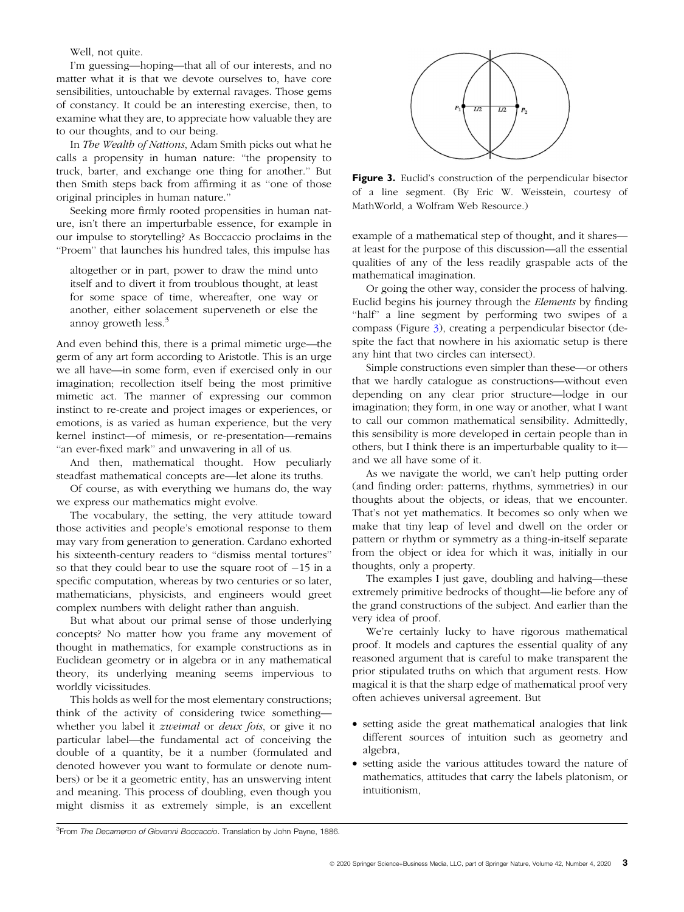Well, not quite.

I'm guessing—hoping—that all of our interests, and no matter what it is that we devote ourselves to, have core sensibilities, untouchable by external ravages. Those gems of constancy. It could be an interesting exercise, then, to examine what they are, to appreciate how valuable they are to our thoughts, and to our being.

In The Wealth of Nations, Adam Smith picks out what he calls a propensity in human nature: ''the propensity to truck, barter, and exchange one thing for another.'' But then Smith steps back from affirming it as ''one of those original principles in human nature.''

Seeking more firmly rooted propensities in human nature, isn't there an imperturbable essence, for example in our impulse to storytelling? As Boccaccio proclaims in the ''Proem'' that launches his hundred tales, this impulse has

altogether or in part, power to draw the mind unto itself and to divert it from troublous thought, at least for some space of time, whereafter, one way or another, either solacement superveneth or else the annoy groweth less.<sup>3</sup>

And even behind this, there is a primal mimetic urge—the germ of any art form according to Aristotle. This is an urge we all have—in some form, even if exercised only in our imagination; recollection itself being the most primitive mimetic act. The manner of expressing our common instinct to re-create and project images or experiences, or emotions, is as varied as human experience, but the very kernel instinct—of mimesis, or re-presentation—remains "an ever-fixed mark" and unwavering in all of us.

And then, mathematical thought. How peculiarly steadfast mathematical concepts are—let alone its truths.

Of course, as with everything we humans do, the way we express our mathematics might evolve.

The vocabulary, the setting, the very attitude toward those activities and people's emotional response to them may vary from generation to generation. Cardano exhorted his sixteenth-century readers to ''dismiss mental tortures'' so that they could bear to use the square root of  $-15$  in a specific computation, whereas by two centuries or so later, mathematicians, physicists, and engineers would greet complex numbers with delight rather than anguish.

But what about our primal sense of those underlying concepts? No matter how you frame any movement of thought in mathematics, for example constructions as in Euclidean geometry or in algebra or in any mathematical theory, its underlying meaning seems impervious to worldly vicissitudes.

This holds as well for the most elementary constructions; think of the activity of considering twice something whether you label it *zweimal* or *deux fois*, or give it no particular label—the fundamental act of conceiving the double of a quantity, be it a number (formulated and denoted however you want to formulate or denote numbers) or be it a geometric entity, has an unswerving intent and meaning. This process of doubling, even though you might dismiss it as extremely simple, is an excellent



Figure 3. Euclid's construction of the perpendicular bisector of a line segment. (By Eric W. Weisstein, courtesy of MathWorld, a Wolfram Web Resource.)

example of a mathematical step of thought, and it shares at least for the purpose of this discussion—all the essential qualities of any of the less readily graspable acts of the mathematical imagination.

Or going the other way, consider the process of halving. Euclid begins his journey through the Elements by finding ''half'' a line segment by performing two swipes of a compass (Figure 3), creating a perpendicular bisector (despite the fact that nowhere in his axiomatic setup is there any hint that two circles can intersect).

Simple constructions even simpler than these—or others that we hardly catalogue as constructions—without even depending on any clear prior structure—lodge in our imagination; they form, in one way or another, what I want to call our common mathematical sensibility. Admittedly, this sensibility is more developed in certain people than in others, but I think there is an imperturbable quality to it and we all have some of it.

As we navigate the world, we can't help putting order (and finding order: patterns, rhythms, symmetries) in our thoughts about the objects, or ideas, that we encounter. That's not yet mathematics. It becomes so only when we make that tiny leap of level and dwell on the order or pattern or rhythm or symmetry as a thing-in-itself separate from the object or idea for which it was, initially in our thoughts, only a property.

The examples I just gave, doubling and halving—these extremely primitive bedrocks of thought—lie before any of the grand constructions of the subject. And earlier than the very idea of proof.

We're certainly lucky to have rigorous mathematical proof. It models and captures the essential quality of any reasoned argument that is careful to make transparent the prior stipulated truths on which that argument rests. How magical it is that the sharp edge of mathematical proof very often achieves universal agreement. But

- setting aside the great mathematical analogies that link different sources of intuition such as geometry and algebra,
- setting aside the various attitudes toward the nature of mathematics, attitudes that carry the labels platonism, or intuitionism,

<sup>&</sup>lt;sup>3</sup> From The Decameron of Giovanni Boccaccio. Translation by John Payne, 1886.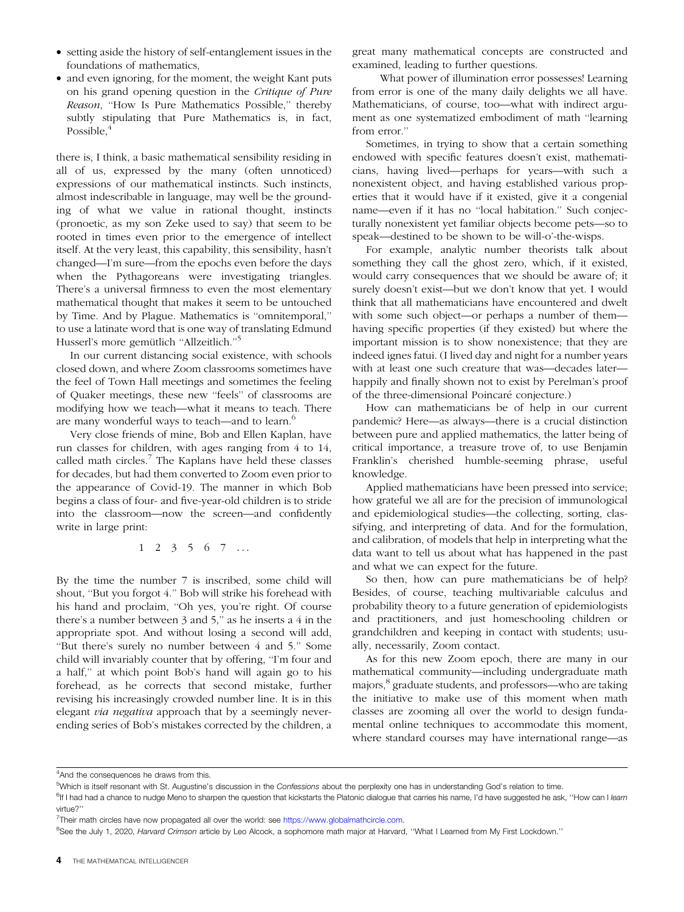- setting aside the history of self-entanglement issues in the foundations of mathematics,
- and even ignoring, for the moment, the weight Kant puts on his grand opening question in the Critique of Pure Reason, ''How Is Pure Mathematics Possible,'' thereby subtly stipulating that Pure Mathematics is, in fact, Possible.<sup>4</sup>

there is, I think, a basic mathematical sensibility residing in all of us, expressed by the many (often unnoticed) expressions of our mathematical instincts. Such instincts, almost indescribable in language, may well be the grounding of what we value in rational thought, instincts (pronoetic, as my son Zeke used to say) that seem to be rooted in times even prior to the emergence of intellect itself. At the very least, this capability, this sensibility, hasn't changed—I'm sure—from the epochs even before the days when the Pythagoreans were investigating triangles. There's a universal firmness to even the most elementary mathematical thought that makes it seem to be untouched by Time. And by Plague. Mathematics is ''omnitemporal,'' to use a latinate word that is one way of translating Edmund Husserl's more gemütlich "Allzeitlich."<sup>5</sup>

In our current distancing social existence, with schools closed down, and where Zoom classrooms sometimes have the feel of Town Hall meetings and sometimes the feeling of Quaker meetings, these new ''feels'' of classrooms are modifying how we teach—what it means to teach. There are many wonderful ways to teach—and to learn.<sup>6</sup>

Very close friends of mine, Bob and Ellen Kaplan, have run classes for children, with ages ranging from 4 to 14, called math circles. $\frac{7}{1}$  The Kaplans have held these classes for decades, but had them converted to Zoom even prior to the appearance of Covid-19. The manner in which Bob begins a class of four- and five-year-old children is to stride into the classroom—now the screen—and confidently write in large print:

123567 ...

By the time the number 7 is inscribed, some child will shout, ''But you forgot 4.'' Bob will strike his forehead with his hand and proclaim, ''Oh yes, you're right. Of course there's a number between 3 and 5," as he inserts a 4 in the appropriate spot. And without losing a second will add, ''But there's surely no number between 4 and 5.'' Some child will invariably counter that by offering, "I'm four and a half,'' at which point Bob's hand will again go to his forehead, as he corrects that second mistake, further revising his increasingly crowded number line. It is in this elegant via negativa approach that by a seemingly neverending series of Bob's mistakes corrected by the children, a

great many mathematical concepts are constructed and examined, leading to further questions.

What power of illumination error possesses! Learning from error is one of the many daily delights we all have. Mathematicians, of course, too—what with indirect argument as one systematized embodiment of math ''learning from error.''

Sometimes, in trying to show that a certain something endowed with specific features doesn't exist, mathematicians, having lived—perhaps for years—with such a nonexistent object, and having established various properties that it would have if it existed, give it a congenial name—even if it has no ''local habitation.'' Such conjecturally nonexistent yet familiar objects become pets—so to speak—destined to be shown to be will-o'-the-wisps.

For example, analytic number theorists talk about something they call the ghost zero, which, if it existed, would carry consequences that we should be aware of; it surely doesn't exist—but we don't know that yet. I would think that all mathematicians have encountered and dwelt with some such object—or perhaps a number of them having specific properties (if they existed) but where the important mission is to show nonexistence; that they are indeed ignes fatui. (I lived day and night for a number years with at least one such creature that was—decades later happily and finally shown not to exist by Perelman's proof of the three-dimensional Poincaré conjecture.)

How can mathematicians be of help in our current pandemic? Here—as always—there is a crucial distinction between pure and applied mathematics, the latter being of critical importance, a treasure trove of, to use Benjamin Franklin's cherished humble-seeming phrase, useful knowledge.

Applied mathematicians have been pressed into service; how grateful we all are for the precision of immunological and epidemiological studies—the collecting, sorting, classifying, and interpreting of data. And for the formulation, and calibration, of models that help in interpreting what the data want to tell us about what has happened in the past and what we can expect for the future.

So then, how can pure mathematicians be of help? Besides, of course, teaching multivariable calculus and probability theory to a future generation of epidemiologists and practitioners, and just homeschooling children or grandchildren and keeping in contact with students; usually, necessarily, Zoom contact.

As for this new Zoom epoch, there are many in our mathematical community—including undergraduate math majors,<sup>8</sup> graduate students, and professors—who are taking the initiative to make use of this moment when math classes are zooming all over the world to design fundamental online techniques to accommodate this moment, where standard courses may have international range—as

<sup>&</sup>lt;sup>4</sup> And the consequences he draws from this.

<sup>&</sup>lt;sup>5</sup>Which is itself resonant with St. Augustine's discussion in the Confessions about the perplexity one has in understanding God's relation to time.

<sup>&</sup>lt;sup>6</sup>If I had had a chance to nudge Meno to sharpen the question that kickstarts the Platonic dialogue that carries his name, I'd have suggested he ask, "How can I learn virtue?"

<sup>&</sup>lt;sup>7</sup>Their math circles have now propagated all over the world: see [https://www.globalmathcircle.com.](https://www.globalmathcircle.com)

<sup>&</sup>lt;sup>8</sup>See the July 1, 2020, *Harvard Crimson article by Leo Alcock*, a sophomore math major at Harvard, "What I Learned from My First Lockdown."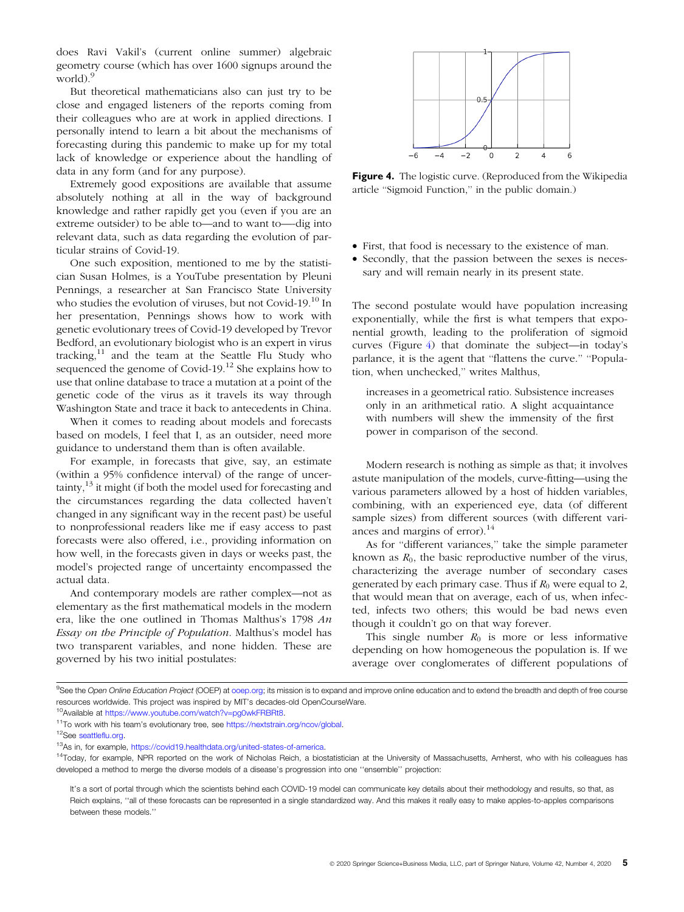does Ravi Vakil's (current online summer) algebraic geometry course (which has over 1600 signups around the world).<sup>9</sup>

But theoretical mathematicians also can just try to be close and engaged listeners of the reports coming from their colleagues who are at work in applied directions. I personally intend to learn a bit about the mechanisms of forecasting during this pandemic to make up for my total lack of knowledge or experience about the handling of data in any form (and for any purpose).

Extremely good expositions are available that assume absolutely nothing at all in the way of background knowledge and rather rapidly get you (even if you are an extreme outsider) to be able to—and to want to—-dig into relevant data, such as data regarding the evolution of particular strains of Covid-19.

One such exposition, mentioned to me by the statistician Susan Holmes, is a YouTube presentation by Pleuni Pennings, a researcher at San Francisco State University who studies the evolution of viruses, but not Covid-19.<sup>10</sup> In her presentation, Pennings shows how to work with genetic evolutionary trees of Covid-19 developed by Trevor Bedford, an evolutionary biologist who is an expert in virus tracking, $11$  and the team at the Seattle Flu Study who sequenced the genome of Covid-19.<sup>12</sup> She explains how to use that online database to trace a mutation at a point of the genetic code of the virus as it travels its way through Washington State and trace it back to antecedents in China.

When it comes to reading about models and forecasts based on models, I feel that I, as an outsider, need more guidance to understand them than is often available.

For example, in forecasts that give, say, an estimate (within a 95% confidence interval) of the range of uncertainty, $13$  it might (if both the model used for forecasting and the circumstances regarding the data collected haven't changed in any significant way in the recent past) be useful to nonprofessional readers like me if easy access to past forecasts were also offered, i.e., providing information on how well, in the forecasts given in days or weeks past, the model's projected range of uncertainty encompassed the actual data.

And contemporary models are rather complex—not as elementary as the first mathematical models in the modern era, like the one outlined in Thomas Malthus's 1798 An Essay on the Principle of Population. Malthus's model has two transparent variables, and none hidden. These are governed by his two initial postulates:



Figure 4. The logistic curve. (Reproduced from the Wikipedia article ''Sigmoid Function,'' in the public domain.)

- First, that food is necessary to the existence of man.
- Secondly, that the passion between the sexes is necessary and will remain nearly in its present state.

The second postulate would have population increasing exponentially, while the first is what tempers that exponential growth, leading to the proliferation of sigmoid curves (Figure 4) that dominate the subject—in today's parlance, it is the agent that ''flattens the curve.'' ''Population, when unchecked,'' writes Malthus,

increases in a geometrical ratio. Subsistence increases only in an arithmetical ratio. A slight acquaintance with numbers will shew the immensity of the first power in comparison of the second.

Modern research is nothing as simple as that; it involves astute manipulation of the models, curve-fitting—using the various parameters allowed by a host of hidden variables, combining, with an experienced eye, data (of different sample sizes) from different sources (with different variances and margins of error).<sup>14</sup>

As for ''different variances,'' take the simple parameter known as  $R_0$ , the basic reproductive number of the virus, characterizing the average number of secondary cases generated by each primary case. Thus if  $R_0$  were equal to 2, that would mean that on average, each of us, when infected, infects two others; this would be bad news even though it couldn't go on that way forever.

This single number  $R_0$  is more or less informative depending on how homogeneous the population is. If we average over conglomerates of different populations of

<sup>&</sup>lt;sup>9</sup>See the Open Online Education Project (OOEP) at [ooep.org](https://ooep.org); its mission is to expand and improve online education and to extend the breadth and depth of free course resources worldwide. This project was inspired by MIT's decades-old OpenCourseWare.

<sup>10</sup>Available at <https://www.youtube.com/watch?v=pg0wkFRBRt8>.

<sup>&</sup>lt;sup>11</sup>To work with his team's evolutionary tree, see [https://nextstrain.org/ncov/global.](https://nextstrain.org/ncov/global)

<sup>12</sup>See [seattleflu.org](https://seattleflu.org).

<sup>13</sup>As in, for example, <https://covid19.healthdata.org/united-states-of-america>.

<sup>&</sup>lt;sup>14</sup>Today, for example, NPR reported on the work of Nicholas Reich, a biostatistician at the University of Massachusetts, Amherst, who with his colleagues has developed a method to merge the diverse models of a disease's progression into one ''ensemble'' projection:

It's a sort of portal through which the scientists behind each COVID-19 model can communicate key details about their methodology and results, so that, as Reich explains, ''all of these forecasts can be represented in a single standardized way. And this makes it really easy to make apples-to-apples comparisons between these models.''